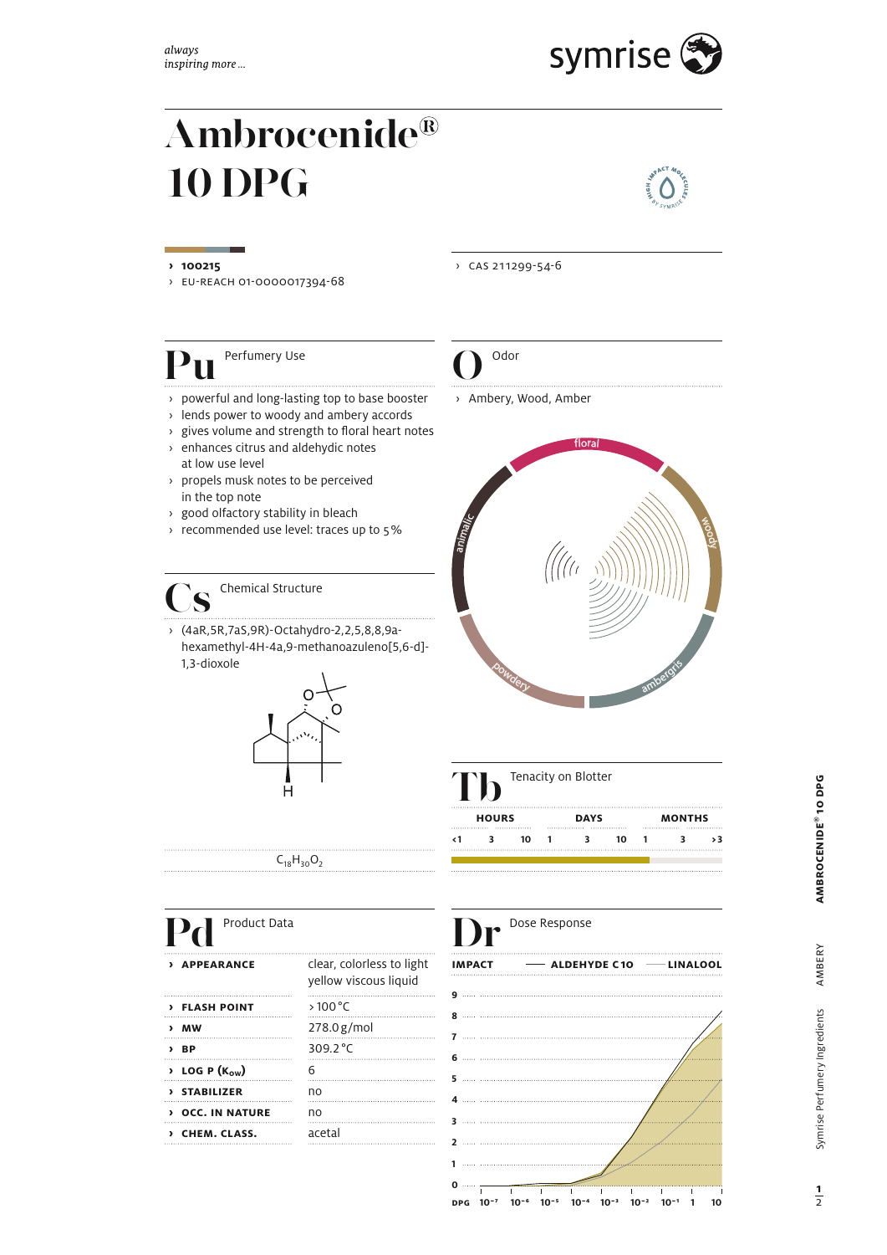

# **Ambrocenide 10 DPG**



› eU-reaCH 01-0000017394-68

# **Pu** Perfumery Use **Q** Odor

- › powerful and long-lasting top to base booster › Ambery, Wood, Amber
- › lends power to woody and ambery accords
- $\rightarrow$  gives volume and strength to floral heart notes
- › enhances citrus and aldehydic notes at low use level
- › propels musk notes to be perceived in the top note
- › good olfactory stability in bleach
- › recommended use level: traces up to 5 %

## **Chemical Structure**

› (4aR,5R,7aS,9R)-Octahydro-2,2,5,8,8,9ahexamethyl-4H-4a,9-methanoazuleno[5,6-d]- 1,3-dioxole





| Product Data                           |                                                    |               | Dose Response            |
|----------------------------------------|----------------------------------------------------|---------------|--------------------------|
| <b>APPEARANCE</b><br>$\lambda$         | clear, colorless to light<br>yellow viscous liquid | <b>IMPACT</b> | $\longrightarrow$ ALDEHY |
| <b>&gt; FLASH POINT</b>                | $>100^{\circ}$ C                                   |               |                          |
| $>$ MW                                 | 278.0g/mol                                         |               |                          |
| $\angle$ BP                            | 309.2 °C                                           |               |                          |
| $\rightarrow$ LOG P (K <sub>ow</sub> ) | 6                                                  |               |                          |
| > STABILIZER                           | no                                                 |               |                          |
| <b>DICC. IN NATURE</b>                 | no                                                 |               |                          |
| > CHEM. CLASS.                         | acetal                                             |               |                          |
|                                        |                                                    |               |                          |

**› 100215** › CaS 211299-54-6









AMBERY

 $\overline{2}$